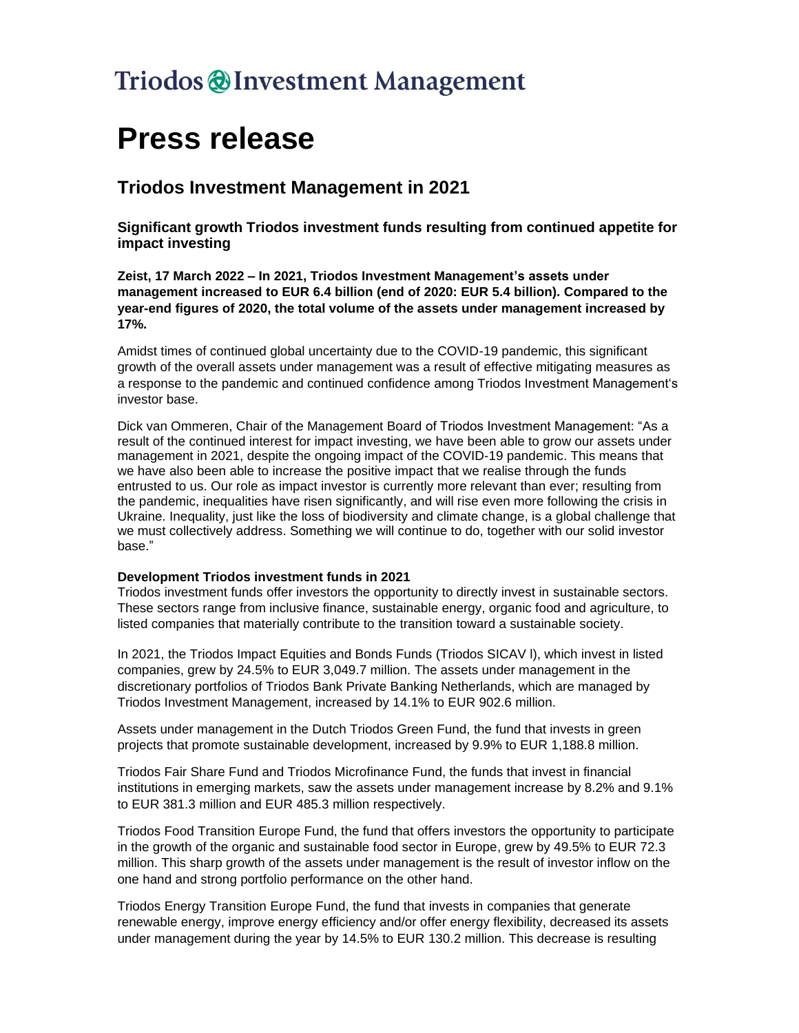## Triodos @ Investment Management

# **Press release**

### **Triodos Investment Management in 2021**

**Significant growth Triodos investment funds resulting from continued appetite for impact investing**

**Zeist, 17 March 2022 – In 2021, Triodos Investment Management's assets under management increased to EUR 6.4 billion (end of 2020: EUR 5.4 billion). Compared to the year-end figures of 2020, the total volume of the assets under management increased by 17%.** 

Amidst times of continued global uncertainty due to the COVID-19 pandemic, this significant growth of the overall assets under management was a result of effective mitigating measures as a response to the pandemic and continued confidence among Triodos Investment Management's investor base.

Dick van Ommeren, Chair of the Management Board of Triodos Investment Management: "As a result of the continued interest for impact investing, we have been able to grow our assets under management in 2021, despite the ongoing impact of the COVID-19 pandemic. This means that we have also been able to increase the positive impact that we realise through the funds entrusted to us. Our role as impact investor is currently more relevant than ever; resulting from the pandemic, inequalities have risen significantly, and will rise even more following the crisis in Ukraine. Inequality, just like the loss of biodiversity and climate change, is a global challenge that we must collectively address. Something we will continue to do, together with our solid investor base."

#### **Development Triodos investment funds in 2021**

Triodos investment funds offer investors the opportunity to directly invest in sustainable sectors. These sectors range from inclusive finance, sustainable energy, organic food and agriculture, to listed companies that materially contribute to the transition toward a sustainable society.

In 2021, the Triodos Impact Equities and Bonds Funds (Triodos SICAV l), which invest in listed companies, grew by 24.5% to EUR 3,049.7 million. The assets under management in the discretionary portfolios of Triodos Bank Private Banking Netherlands, which are managed by Triodos Investment Management, increased by 14.1% to EUR 902.6 million.

Assets under management in the Dutch Triodos Green Fund, the fund that invests in green projects that promote sustainable development, increased by 9.9% to EUR 1,188.8 million.

Triodos Fair Share Fund and Triodos Microfinance Fund, the funds that invest in financial institutions in emerging markets, saw the assets under management increase by 8.2% and 9.1% to EUR 381.3 million and EUR 485.3 million respectively.

Triodos Food Transition Europe Fund, the fund that offers investors the opportunity to participate in the growth of the organic and sustainable food sector in Europe, grew by 49.5% to EUR 72.3 million. This sharp growth of the assets under management is the result of investor inflow on the one hand and strong portfolio performance on the other hand.

Triodos Energy Transition Europe Fund, the fund that invests in companies that generate renewable energy, improve energy efficiency and/or offer energy flexibility, decreased its assets under management during the year by 14.5% to EUR 130.2 million. This decrease is resulting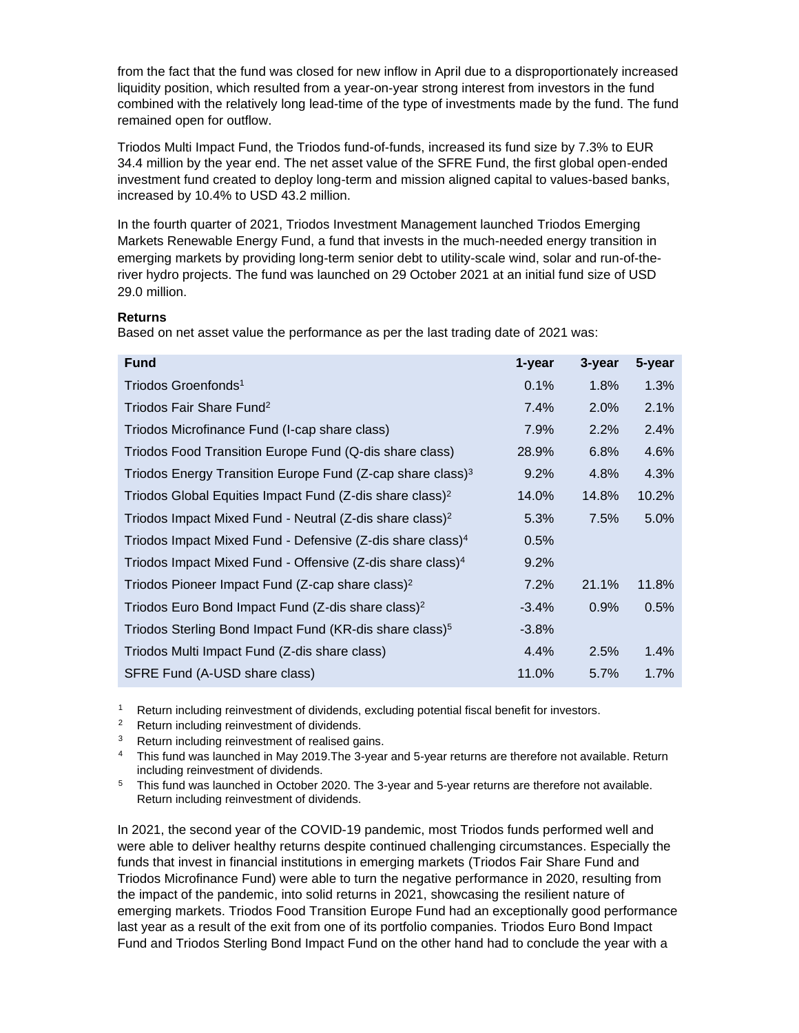from the fact that the fund was closed for new inflow in April due to a disproportionately increased liquidity position, which resulted from a year-on-year strong interest from investors in the fund combined with the relatively long lead-time of the type of investments made by the fund. The fund remained open for outflow.

Triodos Multi Impact Fund, the Triodos fund-of-funds, increased its fund size by 7.3% to EUR 34.4 million by the year end. The net asset value of the SFRE Fund, the first global open-ended investment fund created to deploy long-term and mission aligned capital to values-based banks, increased by 10.4% to USD 43.2 million.

In the fourth quarter of 2021, Triodos Investment Management launched Triodos Emerging Markets Renewable Energy Fund, a fund that invests in the much-needed energy transition in emerging markets by providing long-term senior debt to utility-scale wind, solar and run-of-theriver hydro projects. The fund was launched on 29 October 2021 at an initial fund size of USD 29.0 million.

#### **Returns**

Based on net asset value the performance as per the last trading date of 2021 was:

| <b>Fund</b>                                                                | 1-year  | 3-year | 5-year |
|----------------------------------------------------------------------------|---------|--------|--------|
| Triodos Groenfonds <sup>1</sup>                                            | 0.1%    | 1.8%   | 1.3%   |
| Triodos Fair Share Fund <sup>2</sup>                                       | 7.4%    | 2.0%   | 2.1%   |
| Triodos Microfinance Fund (I-cap share class)                              | 7.9%    | 2.2%   | 2.4%   |
| Triodos Food Transition Europe Fund (Q-dis share class)                    | 28.9%   | 6.8%   | 4.6%   |
| Triodos Energy Transition Europe Fund ( $Z$ -cap share class) <sup>3</sup> | 9.2%    | 4.8%   | 4.3%   |
| Triodos Global Equities Impact Fund (Z-dis share class) <sup>2</sup>       | 14.0%   | 14.8%  | 10.2%  |
| Triodos Impact Mixed Fund - Neutral (Z-dis share class) <sup>2</sup>       | 5.3%    | 7.5%   | 5.0%   |
| Triodos Impact Mixed Fund - Defensive (Z-dis share class) <sup>4</sup>     | 0.5%    |        |        |
| Triodos Impact Mixed Fund - Offensive ( $Z$ -dis share class) <sup>4</sup> | 9.2%    |        |        |
| Triodos Pioneer Impact Fund (Z-cap share class) <sup>2</sup>               | 7.2%    | 21.1%  | 11.8%  |
| Triodos Euro Bond Impact Fund (Z-dis share class) <sup>2</sup>             | $-3.4%$ | 0.9%   | 0.5%   |
| Triodos Sterling Bond Impact Fund (KR-dis share class) <sup>5</sup>        | $-3.8%$ |        |        |
| Triodos Multi Impact Fund (Z-dis share class)                              | 4.4%    | 2.5%   | 1.4%   |
| SFRE Fund (A-USD share class)                                              | 11.0%   | 5.7%   | 1.7%   |

Return including reinvestment of dividends, excluding potential fiscal benefit for investors.

<sup>2</sup> Return including reinvestment of dividends.

<sup>3</sup> Return including reinvestment of realised gains.

<sup>4</sup> This fund was launched in May 2019.The 3-year and 5-year returns are therefore not available. Return including reinvestment of dividends.

<sup>5</sup> This fund was launched in October 2020. The 3-year and 5-year returns are therefore not available. Return including reinvestment of dividends.

In 2021, the second year of the COVID-19 pandemic, most Triodos funds performed well and were able to deliver healthy returns despite continued challenging circumstances. Especially the funds that invest in financial institutions in emerging markets (Triodos Fair Share Fund and Triodos Microfinance Fund) were able to turn the negative performance in 2020, resulting from the impact of the pandemic, into solid returns in 2021, showcasing the resilient nature of emerging markets. Triodos Food Transition Europe Fund had an exceptionally good performance last year as a result of the exit from one of its portfolio companies. Triodos Euro Bond Impact Fund and Triodos Sterling Bond Impact Fund on the other hand had to conclude the year with a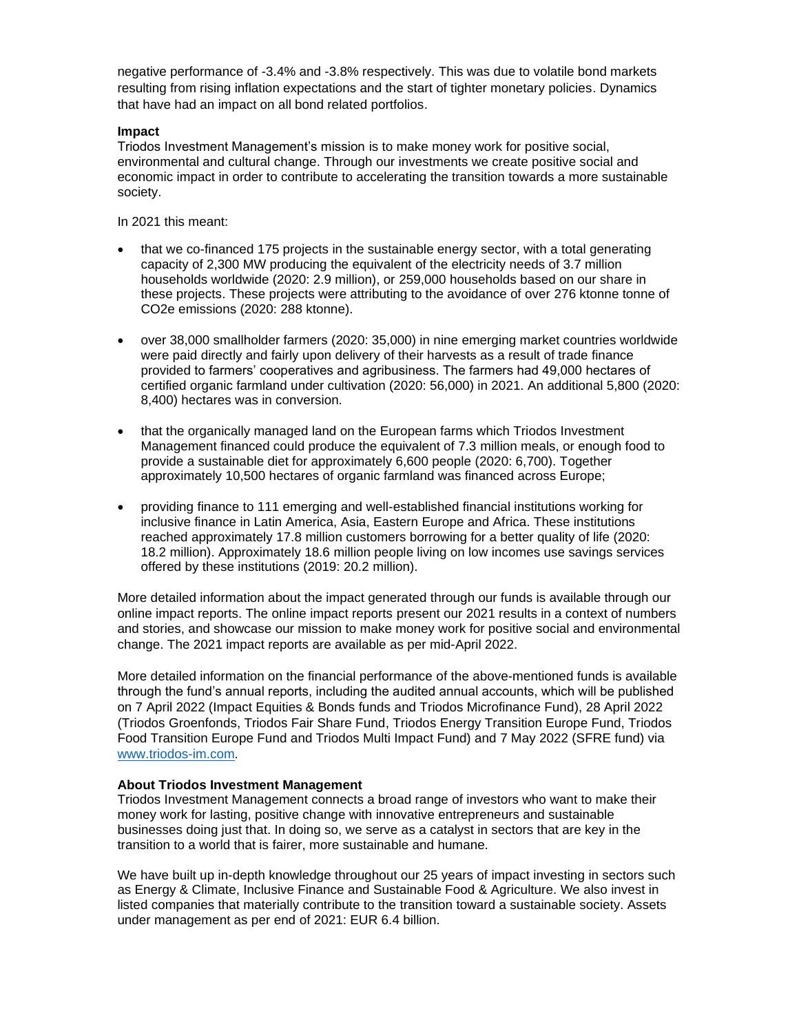negative performance of -3.4% and -3.8% respectively. This was due to volatile bond markets resulting from rising inflation expectations and the start of tighter monetary policies. Dynamics that have had an impact on all bond related portfolios.

#### **Impact**

Triodos Investment Management's mission is to make money work for positive social, environmental and cultural change. Through our investments we create positive social and economic impact in order to contribute to accelerating the transition towards a more sustainable society.

In 2021 this meant:

- that we co-financed 175 projects in the sustainable energy sector, with a total generating capacity of 2,300 MW producing the equivalent of the electricity needs of 3.7 million households worldwide (2020: 2.9 million), or 259,000 households based on our share in these projects. These projects were attributing to the avoidance of over 276 ktonne tonne of CO2e emissions (2020: 288 ktonne).
- over 38,000 smallholder farmers (2020: 35,000) in nine emerging market countries worldwide were paid directly and fairly upon delivery of their harvests as a result of trade finance provided to farmers' cooperatives and agribusiness. The farmers had 49,000 hectares of certified organic farmland under cultivation (2020: 56,000) in 2021. An additional 5,800 (2020: 8,400) hectares was in conversion.
- that the organically managed land on the European farms which Triodos Investment Management financed could produce the equivalent of 7.3 million meals, or enough food to provide a sustainable diet for approximately 6,600 people (2020: 6,700). Together approximately 10,500 hectares of organic farmland was financed across Europe;
- providing finance to 111 emerging and well-established financial institutions working for inclusive finance in Latin America, Asia, Eastern Europe and Africa. These institutions reached approximately 17.8 million customers borrowing for a better quality of life (2020: 18.2 million). Approximately 18.6 million people living on low incomes use savings services offered by these institutions (2019: 20.2 million).

More detailed information about the impact generated through our funds is available through our online impact reports. The online impact reports present our 2021 results in a context of numbers and stories, and showcase our mission to make money work for positive social and environmental change. The 2021 impact reports are available as per mid-April 2022.

More detailed information on the financial performance of the above-mentioned funds is available through the fund's annual reports, including the audited annual accounts, which will be published on 7 April 2022 (Impact Equities & Bonds funds and Triodos Microfinance Fund), 28 April 2022 (Triodos Groenfonds, Triodos Fair Share Fund, Triodos Energy Transition Europe Fund, Triodos Food Transition Europe Fund and Triodos Multi Impact Fund) and 7 May 2022 (SFRE fund) via [www.triodos-im.com.](http://www.triodos-im.com/)

#### **About Triodos Investment Management**

Triodos Investment Management connects a broad range of investors who want to make their money work for lasting, positive change with innovative entrepreneurs and sustainable businesses doing just that. In doing so, we serve as a catalyst in sectors that are key in the transition to a world that is fairer, more sustainable and humane.

We have built up in-depth knowledge throughout our 25 years of impact investing in sectors such as Energy & Climate, Inclusive Finance and Sustainable Food & Agriculture. We also invest in listed companies that materially contribute to the transition toward a sustainable society. Assets under management as per end of 2021: EUR 6.4 billion.